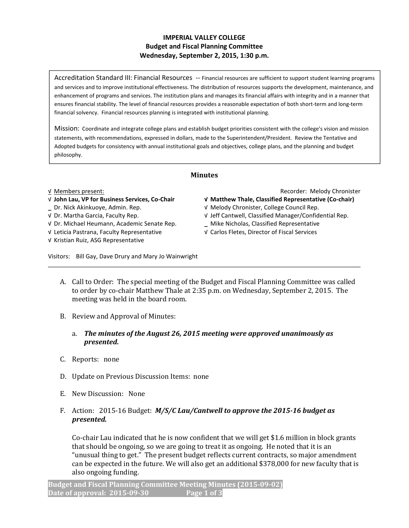## IMPERIAL VALLEY COLLEGE Budget and Fiscal Planning Committee Wednesday, September 2, 2015, 1:30 p.m.

Accreditation Standard III: Financial Resources -- Financial resources are sufficient to support student learning programs and services and to improve institutional effectiveness. The distribution of resources supports the development, maintenance, and enhancement of programs and services. The institution plans and manages its financial affairs with integrity and in a manner that ensures financial stability. The level of financial resources provides a reasonable expectation of both short-term and long-term financial solvency. Financial resources planning is integrated with institutional planning.

Mission: Coordinate and integrate college plans and establish budget priorities consistent with the college's vision and mission statements, with recommendations, expressed in dollars, made to the Superintendent/President. Review the Tentative and Adopted budgets for consistency with annual institutional goals and objectives, college plans, and the planning and budget philosophy.

## Minutes

- 
- 

√ Dr. Michael Heumann, Academic Senate Rep. \_ Mike Nicholas, Classified Representative

√ Kristian Ruiz, ASG Representative

√ Members present: Recorder: Melody Chronister

- √ John Lau, VP for Business Services, Co-Chair √ Matthew Thale, Classified Representative (Co-chair)
- \_ Dr. Nick Akinkuoye, Admin. Rep. √ Melody Chronister, College Council Rep.
- √ Dr. Martha Garcia, Faculty Rep. √ Jeff Cantwell, Classified Manager/Confidential Rep.
	-
- √ Leticia Pastrana, Faculty Representative √ Carlos Fletes, Director of Fiscal Services

Visitors: Bill Gay, Dave Drury and Mary Jo Wainwright

- A. Call to Order: The special meeting of the Budget and Fiscal Planning Committee was called to order by co-chair Matthew Thale at 2:35 p.m. on Wednesday, September 2, 2015. The meeting was held in the board room.
- B. Review and Approval of Minutes:
	- a. The minutes of the August 26, 2015 meeting were approved unanimously as presented.
- C. Reports: none
- D. Update on Previous Discussion Items: none
- E. New Discussion: None
- F. Action: 2015-16 Budget:  $M/S/C$  Lau/Cantwell to approve the 2015-16 budget as presented.

Co-chair Lau indicated that he is now confident that we will get \$1.6 million in block grants that should be ongoing, so we are going to treat it as ongoing. He noted that it is an "unusual thing to get." The present budget reflects current contracts, so major amendment can be expected in the future. We will also get an additional \$378,000 for new faculty that is also ongoing funding.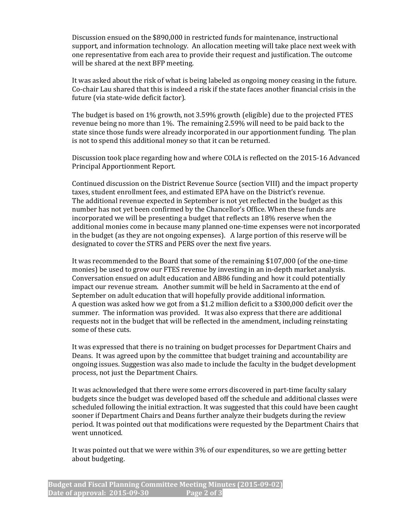Discussion ensued on the \$890,000 in restricted funds for maintenance, instructional support, and information technology. An allocation meeting will take place next week with one representative from each area to provide their request and justification. The outcome will be shared at the next BFP meeting.

It was asked about the risk of what is being labeled as ongoing money ceasing in the future. Co-chair Lau shared that this is indeed a risk if the state faces another financial crisis in the future (via state-wide deficit factor).

The budget is based on 1% growth, not 3.59% growth (eligible) due to the projected FTES revenue being no more than 1%. The remaining 2.59% will need to be paid back to the state since those funds were already incorporated in our apportionment funding. The plan is not to spend this additional money so that it can be returned.

Discussion took place regarding how and where COLA is reflected on the 2015-16 Advanced Principal Apportionment Report.

Continued discussion on the District Revenue Source (section VIII) and the impact property taxes, student enrollment fees, and estimated EPA have on the District's revenue. The additional revenue expected in September is not yet reflected in the budget as this number has not yet been confirmed by the Chancellor's Office. When these funds are incorporated we will be presenting a budget that reflects an 18% reserve when the additional monies come in because many planned one-time expenses were not incorporated in the budget (as they are not ongoing expenses). A large portion of this reserve will be designated to cover the STRS and PERS over the next five years.

It was recommended to the Board that some of the remaining \$107,000 (of the one-time monies) be used to grow our FTES revenue by investing in an in-depth market analysis. Conversation ensued on adult education and AB86 funding and how it could potentially impact our revenue stream. Another summit will be held in Sacramento at the end of September on adult education that will hopefully provide additional information. A question was asked how we got from a \$1.2 million deficit to a \$300,000 deficit over the summer. The information was provided. It was also express that there are additional requests not in the budget that will be reflected in the amendment, including reinstating some of these cuts.

It was expressed that there is no training on budget processes for Department Chairs and Deans. It was agreed upon by the committee that budget training and accountability are ongoing issues. Suggestion was also made to include the faculty in the budget development process, not just the Department Chairs.

It was acknowledged that there were some errors discovered in part-time faculty salary budgets since the budget was developed based off the schedule and additional classes were scheduled following the initial extraction. It was suggested that this could have been caught sooner if Department Chairs and Deans further analyze their budgets during the review period. It was pointed out that modifications were requested by the Department Chairs that went unnoticed.

It was pointed out that we were within 3% of our expenditures, so we are getting better about budgeting.